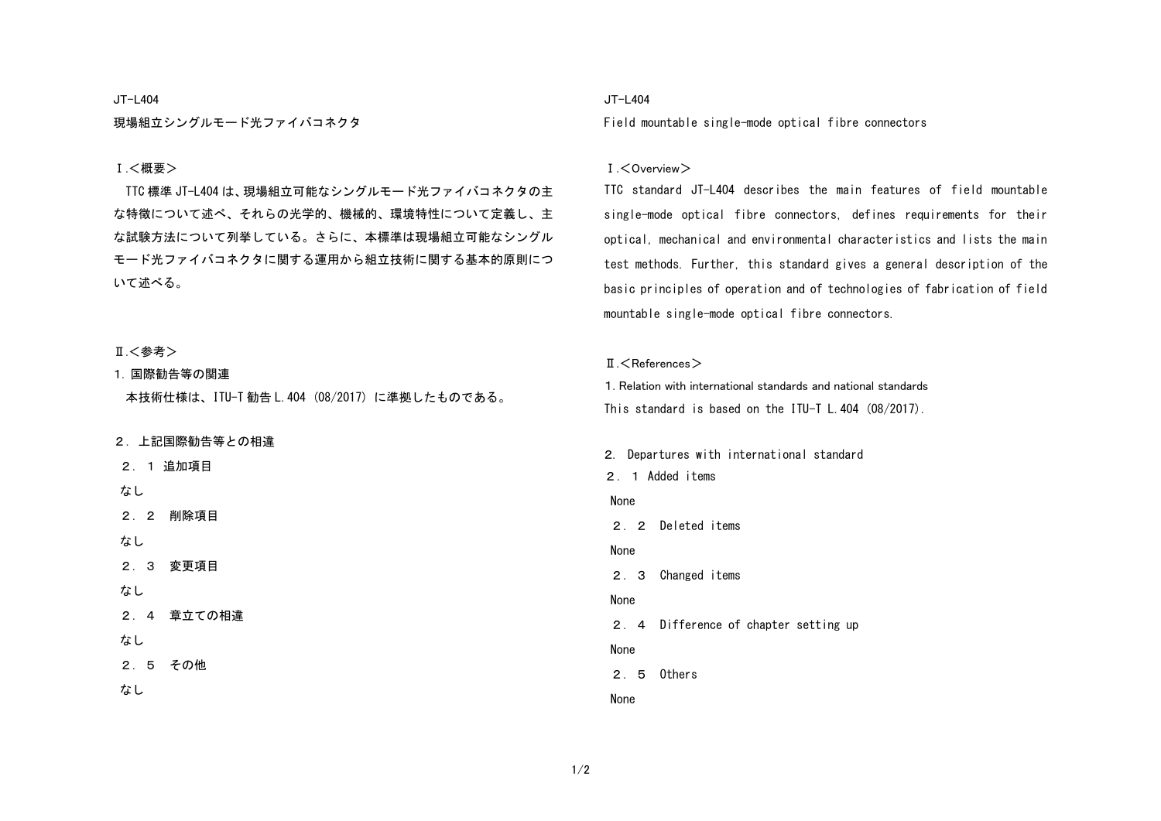#### JT-L404

現場組立シングルモード光ファイバコネクタ

### Ⅰ.<概要>

TTC 標準 JT-L404 は、現場組立可能なシングルモード光ファイバコネクタの主 な特徴について述べ、それらの光学的、機械的、環境特性について定義し、主 な試験方法について列挙している。さらに、本標準は現場組立可能なシングル モード光ファイバコネクタに関する運用から組立技術に関する基本的原則につ いて述べる。

### Ⅱ.<参考>

# 1. 国際勧告等の関連

本技術仕様は、ITU-T 勧告 L.404 (08/2017) に準拠したものである。

### 2. 上記国際勧告等との相違

- 2.1 追加項目
- なし
- 2.2 削除項目
- なし

2.3 変更項目

- なし
- 2.4 章立ての相違
- なし

2.5 その他

なし

### JT-L404

Field mountable single-mode optical fibre connectors

#### Ⅰ.<Overview>

TTC standard JT-L404 describes the main features of field mountable single-mode optical fibre connectors, defines requirements for their optical, mechanical and environmental characteristics and lists the main test methods. Further, this standard gives a general description of the basic principles of operation and of technologies of fabrication of field mountable single-mode optical fibre connectors.

#### $\P$   $\leq$  References  $>$

1. Relation with international standards and national standards This standard is based on the ITU-T L.404 (08/2017).

2. Departures with international standard 2.1 Added items None 2.2 Deleted items None 2.3 Changed items None 2.4 Difference of chapter setting up None 2.5 Others None